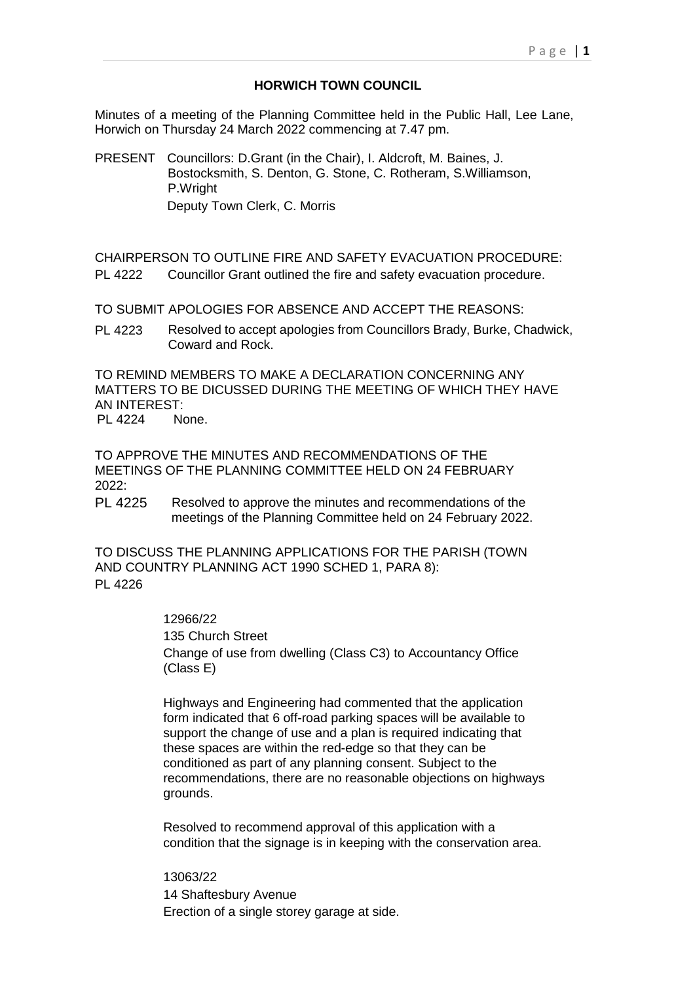# **HORWICH TOWN COUNCIL**

Minutes of a meeting of the Planning Committee held in the Public Hall, Lee Lane, Horwich on Thursday 24 March 2022 commencing at 7.47 pm.

PRESENT Councillors: D.Grant (in the Chair), I. Aldcroft, M. Baines, J. Bostocksmith, S. Denton, G. Stone, C. Rotheram, S.Williamson, P.Wright Deputy Town Clerk, C. Morris

CHAIRPERSON TO OUTLINE FIRE AND SAFETY EVACUATION PROCEDURE: PL 4222 Councillor Grant outlined the fire and safety evacuation procedure.

TO SUBMIT APOLOGIES FOR ABSENCE AND ACCEPT THE REASONS:

PL 4223 Resolved to accept apologies from Councillors Brady, Burke, Chadwick, Coward and Rock.

TO REMIND MEMBERS TO MAKE A DECLARATION CONCERNING ANY MATTERS TO BE DICUSSED DURING THE MEETING OF WHICH THEY HAVE AN INTEREST:

PL 4224 None.

TO APPROVE THE MINUTES AND RECOMMENDATIONS OF THE MEETINGS OF THE PLANNING COMMITTEE HELD ON 24 FEBRUARY  $2022$ 

PL 4225 Resolved to approve the minutes and recommendations of the meetings of the Planning Committee held on 24 February 2022.

TO DISCUSS THE PLANNING APPLICATIONS FOR THE PARISH (TOWN AND COUNTRY PLANNING ACT 1990 SCHED 1, PARA 8): PL 4226

## 12966/22

135 Church Street

Change of use from dwelling (Class C3) to Accountancy Office (Class E)

Highways and Engineering had commented that the application form indicated that 6 off-road parking spaces will be available to support the change of use and a plan is required indicating that these spaces are within the red-edge so that they can be conditioned as part of any planning consent. Subject to the recommendations, there are no reasonable objections on highways grounds.

Resolved to recommend approval of this application with a condition that the signage is in keeping with the conservation area.

13063/22 14 Shaftesbury Avenue Erection of a single storey garage at side.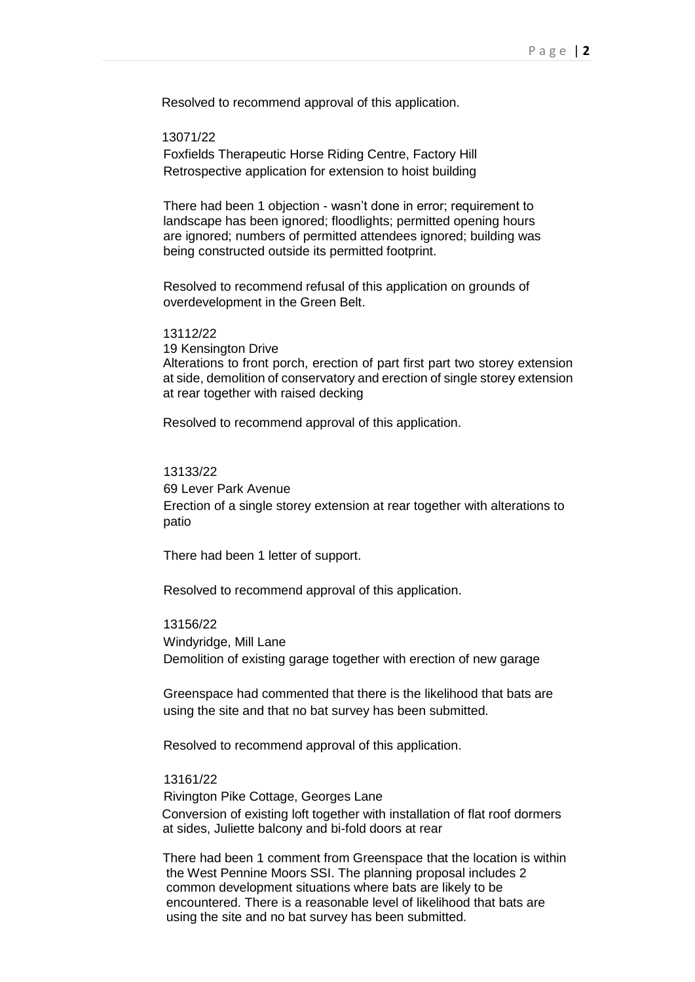Resolved to recommend approval of this application.

### 13071/22

Foxfields Therapeutic Horse Riding Centre, Factory Hill Retrospective application for extension to hoist building

There had been 1 objection - wasn't done in error; requirement to landscape has been ignored; floodlights; permitted opening hours are ignored; numbers of permitted attendees ignored; building was being constructed outside its permitted footprint.

Resolved to recommend refusal of this application on grounds of overdevelopment in the Green Belt.

#### 13112/22

19 Kensington Drive Alterations to front porch, erection of part first part two storey extension at side, demolition of conservatory and erection of single storey extension at rear together with raised decking

Resolved to recommend approval of this application.

# 13133/22

69 Lever Park Avenue

Erection of a single storey extension at rear together with alterations to patio

There had been 1 letter of support.

Resolved to recommend approval of this application.

13156/22 Windyridge, Mill Lane Demolition of existing garage together with erection of new garage

Greenspace had commented that there is the likelihood that bats are using the site and that no bat survey has been submitted.

Resolved to recommend approval of this application.

### 13161/22

Rivington Pike Cottage, Georges Lane Conversion of existing loft together with installation of flat roof dormers at sides, Juliette balcony and bi-fold doors at rear

 There had been 1 comment from Greenspace that the location is within the West Pennine Moors SSI. The planning proposal includes 2 common development situations where bats are likely to be encountered. There is a reasonable level of likelihood that bats are using the site and no bat survey has been submitted.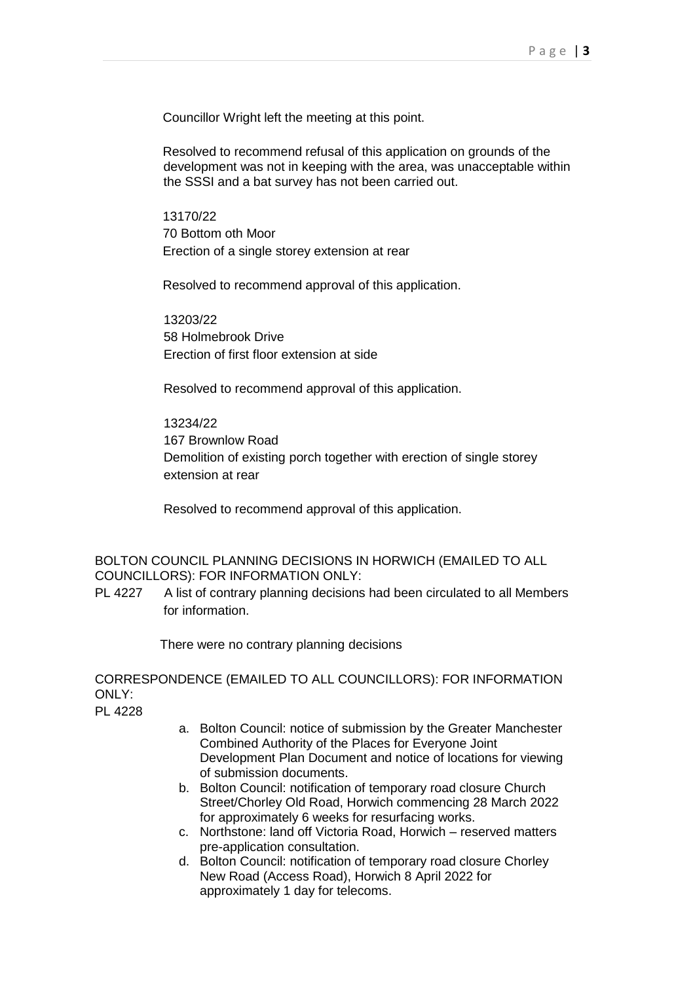Councillor Wright left the meeting at this point.

Resolved to recommend refusal of this application on grounds of the development was not in keeping with the area, was unacceptable within the SSSI and a bat survey has not been carried out.

13170/22 70 Bottom oth Moor Erection of a single storey extension at rear

Resolved to recommend approval of this application.

13203/22 58 Holmebrook Drive Erection of first floor extension at side

Resolved to recommend approval of this application.

13234/22 167 Brownlow Road Demolition of existing porch together with erection of single storey extension at rear

Resolved to recommend approval of this application.

BOLTON COUNCIL PLANNING DECISIONS IN HORWICH (EMAILED TO ALL COUNCILLORS): FOR INFORMATION ONLY:

PL 4227 A list of contrary planning decisions had been circulated to all Members for information.

There were no contrary planning decisions

CORRESPONDENCE (EMAILED TO ALL COUNCILLORS): FOR INFORMATION ONLY:

PL 4228

- a. Bolton Council: notice of submission by the Greater Manchester Combined Authority of the Places for Everyone Joint Development Plan Document and notice of locations for viewing of submission documents.
- b. Bolton Council: notification of temporary road closure Church Street/Chorley Old Road, Horwich commencing 28 March 2022 for approximately 6 weeks for resurfacing works.
- c. Northstone: land off Victoria Road, Horwich reserved matters pre-application consultation.
- d. Bolton Council: notification of temporary road closure Chorley New Road (Access Road), Horwich 8 April 2022 for approximately 1 day for telecoms.